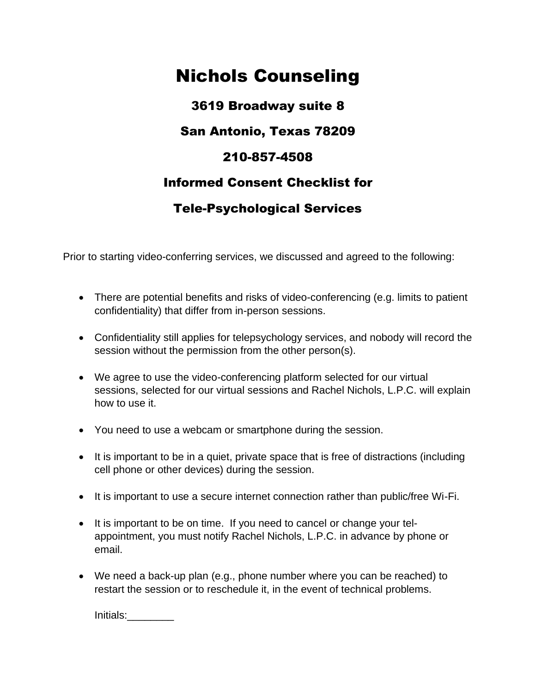## Nichols Counseling

3619 Broadway suite 8 San Antonio, Texas 78209 210-857-4508 Informed Consent Checklist for Tele-Psychological Services

Prior to starting video-conferring services, we discussed and agreed to the following:

- There are potential benefits and risks of video-conferencing (e.g. limits to patient confidentiality) that differ from in-person sessions.
- Confidentiality still applies for telepsychology services, and nobody will record the session without the permission from the other person(s).
- We agree to use the video-conferencing platform selected for our virtual sessions, selected for our virtual sessions and Rachel Nichols, L.P.C. will explain how to use it.
- You need to use a webcam or smartphone during the session.
- It is important to be in a quiet, private space that is free of distractions (including cell phone or other devices) during the session.
- It is important to use a secure internet connection rather than public/free Wi-Fi.
- It is important to be on time. If you need to cancel or change your telappointment, you must notify Rachel Nichols, L.P.C. in advance by phone or email.
- We need a back-up plan (e.g., phone number where you can be reached) to restart the session or to reschedule it, in the event of technical problems.

Initials:\_\_\_\_\_\_\_\_\_